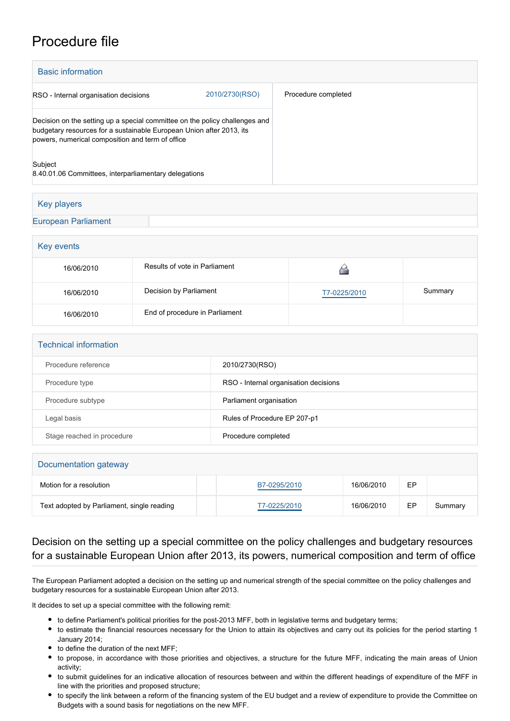## Procedure file

| <b>Basic information</b>                                                                                                                                                                                |                |                     |
|---------------------------------------------------------------------------------------------------------------------------------------------------------------------------------------------------------|----------------|---------------------|
| RSO - Internal organisation decisions                                                                                                                                                                   | 2010/2730(RSO) | Procedure completed |
| Decision on the setting up a special committee on the policy challenges and<br>budgetary resources for a sustainable European Union after 2013, its<br>powers, numerical composition and term of office |                |                     |
| Subject<br>8.40.01.06 Committees, interparliamentary delegations                                                                                                                                        |                |                     |
|                                                                                                                                                                                                         |                |                     |

| Key players                |  |  |
|----------------------------|--|--|
| <b>European Parliament</b> |  |  |
|                            |  |  |

| Key events |                                |              |         |  |
|------------|--------------------------------|--------------|---------|--|
| 16/06/2010 | Results of vote in Parliament  |              |         |  |
| 16/06/2010 | Decision by Parliament         | T7-0225/2010 | Summary |  |
| 16/06/2010 | End of procedure in Parliament |              |         |  |

| <b>Technical information</b> |                                       |  |
|------------------------------|---------------------------------------|--|
| Procedure reference          | 2010/2730(RSO)                        |  |
| Procedure type               | RSO - Internal organisation decisions |  |
| Procedure subtype            | Parliament organisation               |  |
| Legal basis                  | Rules of Procedure EP 207-p1          |  |
| Stage reached in procedure   | Procedure completed                   |  |

| Documentation gateway                      |              |            |    |         |  |
|--------------------------------------------|--------------|------------|----|---------|--|
| Motion for a resolution                    | B7-0295/2010 | 16/06/2010 | EP |         |  |
| Text adopted by Parliament, single reading | T7-0225/2010 | 16/06/2010 | EP | Summary |  |

## Decision on the setting up a special committee on the policy challenges and budgetary resources for a sustainable European Union after 2013, its powers, numerical composition and term of office

The European Parliament adopted a decision on the setting up and numerical strength of the special committee on the policy challenges and budgetary resources for a sustainable European Union after 2013.

It decides to set up a special committee with the following remit:

- to define Parliament's political priorities for the post-2013 MFF, both in legislative terms and budgetary terms;
- to estimate the financial resources necessary for the Union to attain its objectives and carry out its policies for the period starting 1 January 2014;
- to define the duration of the next MFF;
- to propose, in accordance with those priorities and objectives, a structure for the future MFF, indicating the main areas of Union activity;
- to submit guidelines for an indicative allocation of resources between and within the different headings of expenditure of the MFF in line with the priorities and proposed structure;
- to specify the link between a reform of the financing system of the EU budget and a review of expenditure to provide the Committee on Budgets with a sound basis for negotiations on the new MFF.